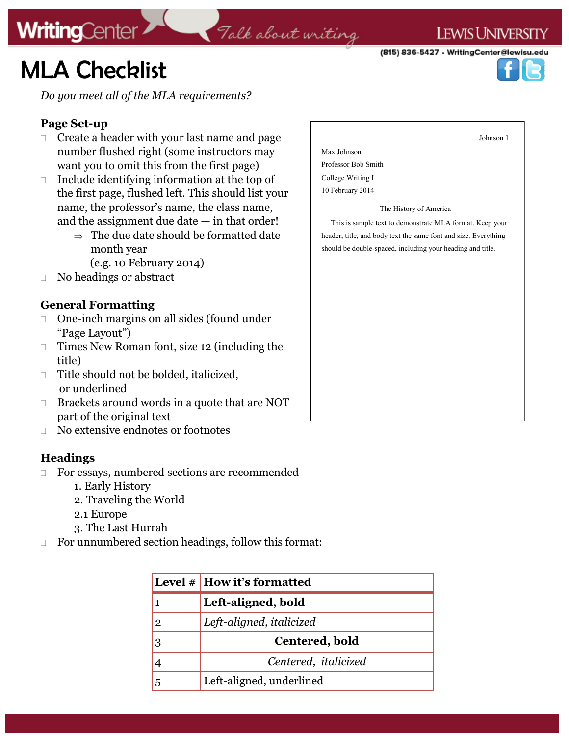# **MLA Checklist**

**WritingCenter** 

*Do you meet all of the MLA requirements?*

### **Page Set-up**

- $\Box$  Create a header with your last name and page number flushed right (some instructors may want you to omit this from the first page)
- $\Box$  Include identifying information at the top of the first page, flushed left. This should list your name, the professor's name, the class name, and the assignment due date  $-$  in that order!
	- $\Rightarrow$  The due date should be formatted date month year
		- (e.g. 10 February 2014)
- No headings or abstract

### **General Formatting**

- One-inch margins on all sides (found under "Page Layout")
- $\Box$  Times New Roman font, size 12 (including the title)
- □ Title should not be bolded, italicized, or underlined
- □ Brackets around words in a quote that are NOT part of the original text
- □ No extensive endnotes or footnotes

### **Headings**

- □ For essays, numbered sections are recommended
	- 1. Early History
	- 2. Traveling the World
	- 2.1 Europe
	- 3. The Last Hurrah
- $\Box$  For unnumbered section headings, follow this format:

|              | Level $\#$ How it's formatted |
|--------------|-------------------------------|
|              | Left-aligned, bold            |
| $\mathbf{2}$ | Left-aligned, italicized      |
| 3            | Centered, bold                |
|              | Centered, <i>italicized</i>   |
| 5            | Left-aligned, underlined      |

Talk about writing



 This is sample text to demonstrate MLA format. Keep your header, title, and body text the same font and size. Everything should be double-spaced, including your heading and title.

### **LEWIS UNIVERSITY**

Johnson 1

(815) 836-5427 • WritingCenter@lewisu.edu